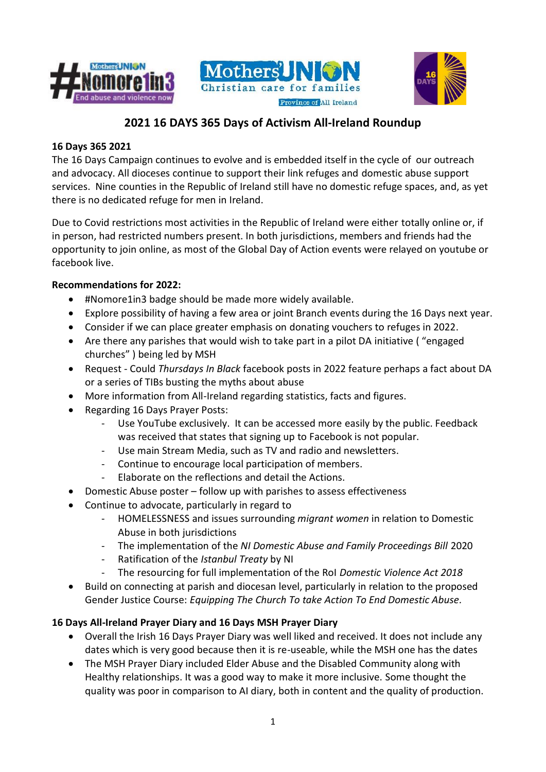





# **2021 16 DAYS 365 Days of Activism All-Ireland Roundup**

# **16 Days 365 2021**

The 16 Days Campaign continues to evolve and is embedded itself in the cycle of our outreach and advocacy. All dioceses continue to support their link refuges and domestic abuse support services. Nine counties in the Republic of Ireland still have no domestic refuge spaces, and, as yet there is no dedicated refuge for men in Ireland.

Due to Covid restrictions most activities in the Republic of Ireland were either totally online or, if in person, had restricted numbers present. In both jurisdictions, members and friends had the opportunity to join online, as most of the Global Day of Action events were relayed on youtube or facebook live.

# **Recommendations for 2022:**

- #Nomore1in3 badge should be made more widely available.
- Explore possibility of having a few area or joint Branch events during the 16 Days next year.
- Consider if we can place greater emphasis on donating vouchers to refuges in 2022.
- Are there any parishes that would wish to take part in a pilot DA initiative ( "engaged churches" ) being led by MSH
- Request Could *Thursdays In Black* facebook posts in 2022 feature perhaps a fact about DA or a series of TIBs busting the myths about abuse
- More information from All-Ireland regarding statistics, facts and figures.
- Regarding 16 Days Prayer Posts:
	- Use YouTube exclusively. It can be accessed more easily by the public. Feedback was received that states that signing up to Facebook is not popular.
	- Use main Stream Media, such as TV and radio and newsletters.
	- Continue to encourage local participation of members.
	- Elaborate on the reflections and detail the Actions.
- Domestic Abuse poster follow up with parishes to assess effectiveness
- Continue to advocate, particularly in regard to
	- HOMELESSNESS and issues surrounding *migrant women* in relation to Domestic Abuse in both jurisdictions
	- The implementation of the *NI Domestic Abuse and Family Proceedings Bill* 2020
	- Ratification of the *Istanbul Treaty* by NI
	- The resourcing for full implementation of the RoI *Domestic Violence Act 2018*
- Build on connecting at parish and diocesan level, particularly in relation to the proposed Gender Justice Course: *Equipping The Church To take Action To End Domestic Abuse.*

# **16 Days All-Ireland Prayer Diary and 16 Days MSH Prayer Diary**

- Overall the Irish 16 Days Prayer Diary was well liked and received. It does not include any dates which is very good because then it is re-useable, while the MSH one has the dates
- The MSH Prayer Diary included Elder Abuse and the Disabled Community along with Healthy relationships. It was a good way to make it more inclusive. Some thought the quality was poor in comparison to AI diary, both in content and the quality of production.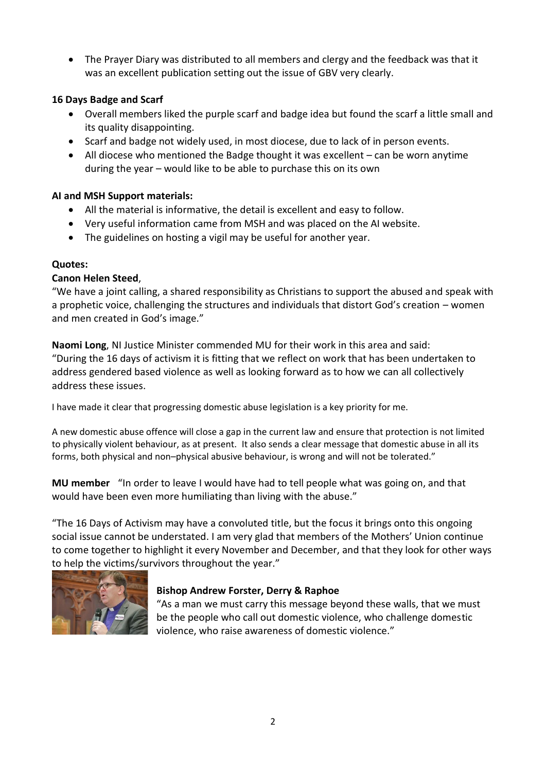• The Prayer Diary was distributed to all members and clergy and the feedback was that it was an excellent publication setting out the issue of GBV very clearly.

# **16 Days Badge and Scarf**

- Overall members liked the purple scarf and badge idea but found the scarf a little small and its quality disappointing.
- Scarf and badge not widely used, in most diocese, due to lack of in person events.
- All diocese who mentioned the Badge thought it was excellent can be worn anytime during the year – would like to be able to purchase this on its own

# **AI and MSH Support materials:**

- All the material is informative, the detail is excellent and easy to follow.
- Very useful information came from MSH and was placed on the AI website.
- The guidelines on hosting a vigil may be useful for another year.

## **Quotes:**

# **Canon Helen Steed**,

"We have a joint calling, a shared responsibility as Christians to support the abused and speak with a prophetic voice, challenging the structures and individuals that distort God's creation – women and men created in God's image."

**Naomi Long**, NI Justice Minister commended MU for their work in this area and said: "During the 16 days of activism it is fitting that we reflect on work that has been undertaken to address gendered based violence as well as looking forward as to how we can all collectively address these issues.

I have made it clear that progressing domestic abuse legislation is a key priority for me.

A new domestic abuse offence will close a gap in the current law and ensure that protection is not limited to physically violent behaviour, as at present. It also sends a clear message that domestic abuse in all its forms, both physical and non–physical abusive behaviour, is wrong and will not be tolerated."

**MU member** "In order to leave I would have had to tell people what was going on, and that would have been even more humiliating than living with the abuse."

"The 16 Days of Activism may have a convoluted title, but the focus it brings onto this ongoing social issue cannot be understated. I am very glad that members of the Mothers' Union continue to come together to highlight it every November and December, and that they look for other ways to help the victims/survivors throughout the year."



## **Bishop Andrew Forster, Derry & Raphoe**

"As a man we must carry this message beyond these walls, that we must be the people who call out domestic violence, who challenge domestic violence, who raise awareness of domestic violence."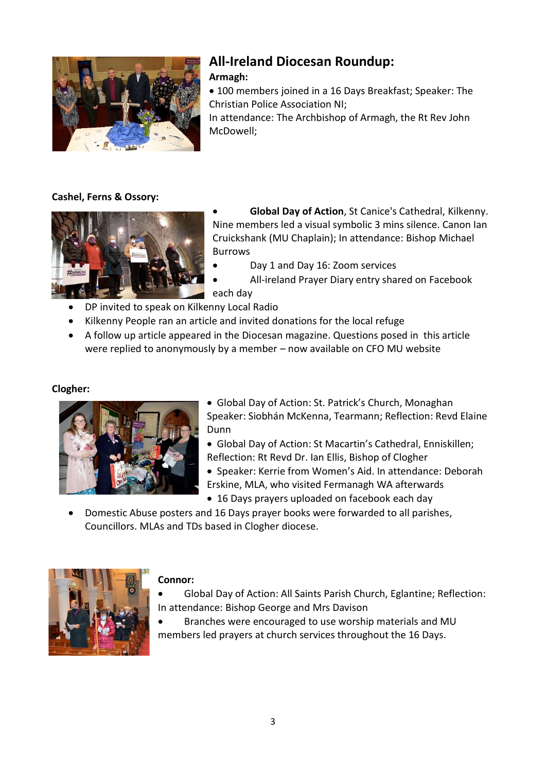

# **All-Ireland Diocesan Roundup:**

# **Armagh:**

• 100 members joined in a 16 Days Breakfast; Speaker: The Christian Police Association NI;

In attendance: The Archbishop of Armagh, the Rt Rev John McDowell;

# **Cashel, Ferns & Ossory:**



• **Global Day of Action**, St Canice's Cathedral, Kilkenny. Nine members led a visual symbolic 3 mins silence. Canon Ian Cruickshank (MU Chaplain); In attendance: Bishop Michael Burrows

- Day 1 and Day 16: Zoom services
	- All-ireland Prayer Diary entry shared on Facebook

each day

- DP invited to speak on Kilkenny Local Radio
- Kilkenny People ran an article and invited donations for the local refuge
- A follow up article appeared in the Diocesan magazine. Questions posed in this article were replied to anonymously by a member – now available on CFO MU website

# **Clogher:**



- Global Day of Action: St. Patrick's Church, Monaghan Speaker: Siobhán McKenna, Tearmann; Reflection: Revd Elaine **Dunn**
- Global Day of Action: St Macartin's Cathedral, Enniskillen; Reflection: Rt Revd Dr. Ian Ellis, Bishop of Clogher
- Speaker: Kerrie from Women's Aid. In attendance: Deborah Erskine, MLA, who visited Fermanagh WA afterwards
- 16 Days prayers uploaded on facebook each day
- Domestic Abuse posters and 16 Days prayer books were forwarded to all parishes, Councillors. MLAs and TDs based in Clogher diocese.



# **Connor:**

- Global Day of Action: All Saints Parish Church, Eglantine; Reflection: In attendance: Bishop George and Mrs Davison
- Branches were encouraged to use worship materials and MU members led prayers at church services throughout the 16 Days.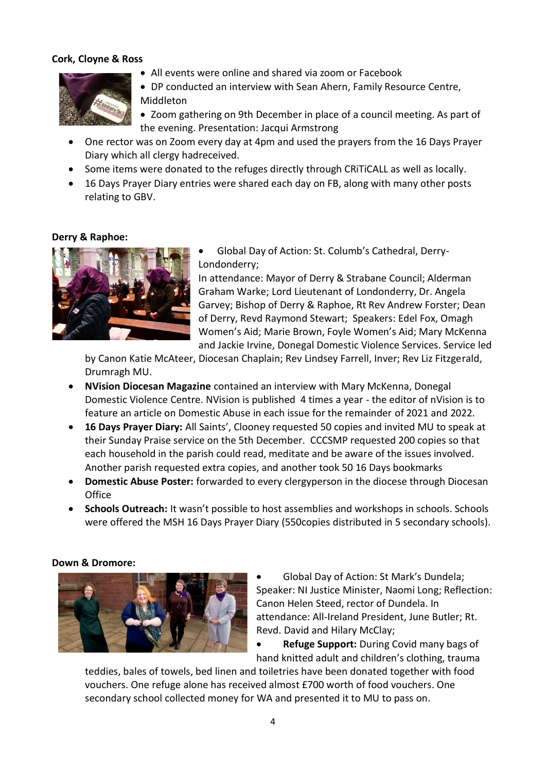#### **Cork, Cloyne & Ross**



- All events were online and shared via zoom or Facebook
- DP conducted an interview with Sean Ahern, Family Resource Centre, Middleton
- Zoom gathering on 9th December in place of a council meeting. As part of the evening. Presentation: Jacqui Armstrong
- One rector was on Zoom every day at 4pm and used the prayers from the 16 Days Prayer Diary which all clergy hadreceived.
- Some items were donated to the refuges directly through CRiTiCALL as well as locally.
- 16 Days Prayer Diary entries were shared each day on FB, along with many other posts relating to GBV.

#### **Derry & Raphoe:**



• Global Day of Action: St. Columb's Cathedral, Derry-Londonderry;

In attendance: Mayor of Derry & Strabane Council; Alderman Graham Warke; Lord Lieutenant of Londonderry, Dr. Angela Garvey; Bishop of Derry & Raphoe, Rt Rev Andrew Forster; Dean of Derry, Revd Raymond Stewart; Speakers: Edel Fox, Omagh Women's Aid; Marie Brown, Foyle Women's Aid; Mary McKenna and Jackie Irvine, Donegal Domestic Violence Services. Service led

by Canon Katie McAteer, Diocesan Chaplain; Rev Lindsey Farrell, Inver; Rev Liz Fitzgerald, Drumragh MU.

- **NVision Diocesan Magazine** contained an interview with Mary McKenna, Donegal Domestic Violence Centre. NVision is published 4 times a year - the editor of nVision is to feature an article on Domestic Abuse in each issue for the remainder of 2021 and 2022.
- **16 Days Prayer Diary:** All Saints', Clooney requested 50 copies and invited MU to speak at their Sunday Praise service on the 5th December. CCCSMP requested 200 copies so that each household in the parish could read, meditate and be aware of the issues involved. Another parish requested extra copies, and another took 50 16 Days bookmarks
- **Domestic Abuse Poster:** forwarded to every clergyperson in the diocese through Diocesan **Office**
- **Schools Outreach:** It wasn't possible to host assemblies and workshops in schools. Schools were offered the MSH 16 Days Prayer Diary (550copies distributed in 5 secondary schools).

#### **Down & Dromore:**



• Global Day of Action: St Mark's Dundela; Speaker: NI Justice Minister, Naomi Long; Reflection: Canon Helen Steed, rector of Dundela. In attendance: All-Ireland President, June Butler; Rt. Revd. David and Hilary McClay;

• **Refuge Support:** During Covid many bags of hand knitted adult and children's clothing, trauma

teddies, bales of towels, bed linen and toiletries have been donated together with food vouchers. One refuge alone has received almost £700 worth of food vouchers. One secondary school collected money for WA and presented it to MU to pass on.